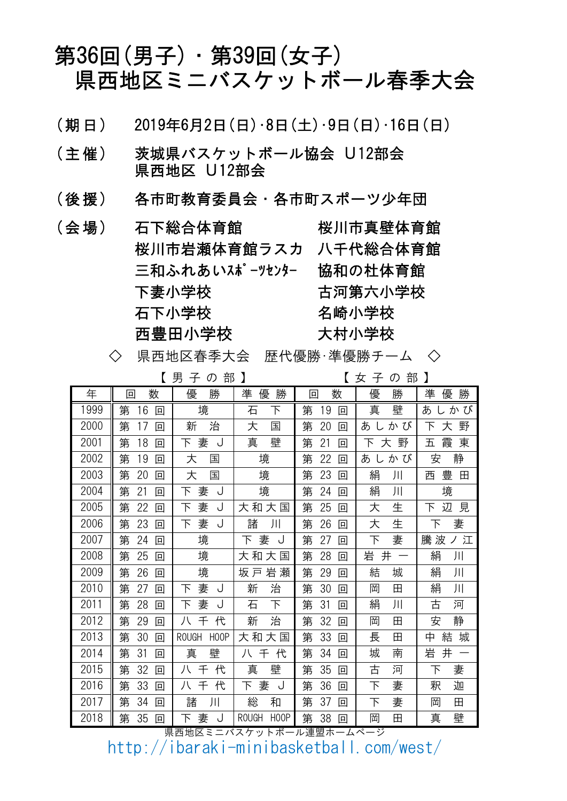# 第36回(男子)・第39回(女子) 県西地区ミニバスケットボール春季大会

- $\left(\begin{array}{c|c} \frac{1}{2} & \frac{1}{2} & \frac{1}{2} \\ \frac{1}{2} & \frac{1}{2} & \frac{1}{2} & \frac{1}{2} \\ \frac{1}{2} & \frac{1}{2} & \frac{1}{2} & \frac{1}{2} \\ \frac{1}{2} & \frac{1}{2} & \frac{1}{2} & \frac{1}{2} \\ \frac{1}{2} & \frac{1}{2} & \frac{1}{2} & \frac{1}{2} \\ \frac{1}{2} & \frac{1}{2} & \frac{1}{2} & \frac{1}{2} \\ \frac{1}{2} & \frac{1}{2} & \frac{1}{2} &$
- (主催) 茨城県バスケットボール協会 U12部会 県西地区 U12部会
- (後 援) 各市町教育委員会・各市町スポーツ少年団
- 桜川市岩瀬体育館ラスカ 八千代総合体育館 石下小学校 三和ふれあいスポーツセンター 協和の杜体育館 名崎小学校 (会場) 石下総合体育館 桜川市真壁体育館 下妻小学校 古河第六小学校 西豊田小学校

<sup>◇</sup> 県西地区春季大会 歴代優勝・準優勝チーム ◇

|      |                   | 男<br>部<br>子<br>の                  |                                   |              | 部<br>子<br>の<br>女  |             |
|------|-------------------|-----------------------------------|-----------------------------------|--------------|-------------------|-------------|
| 年    | 数<br>回            | 勝<br>優                            | 勝<br>準<br>優                       | 数<br>冋       | 勝<br>優            | 勝<br>準<br>優 |
| 1999 | 第<br>16<br>回      | 境                                 | 石<br>下                            | 第<br>19<br>回 | 真<br>壁            | あ<br>かび     |
| 2000 | 第<br>17<br>回      | 治<br>新                            | 大<br>国                            | 20<br>第<br>回 | しかび<br>あ          | 野<br>下<br>大 |
| 2001 | 第<br>18<br>回      | 妻<br>下<br>J                       | 壁<br>真                            | 第<br>21<br>回 | 野<br>下<br>大       | 東<br>五<br>霞 |
| 2002 | 19<br>第<br>$\Box$ | 大<br>国                            | 境                                 | 第<br>22<br>回 | かび<br>あ<br>$\cup$ | 静<br>安      |
| 2003 | 第<br>20<br>$\Box$ | 大<br>国                            | 境                                 | 第<br>23<br>回 | 絹<br>川            | 豊<br>西<br>田 |
| 2004 | 第<br>21<br>回      | 妻<br>J<br>下                       | 境                                 | 24<br>第<br>回 | 絹<br>川            | 境           |
| 2005 | 第<br>22<br>$\Box$ | 妻<br>下<br>J                       | 大<br>和大<br>国                      | 25<br>第<br>回 | 生<br>大            | 辺<br>下<br>見 |
| 2006 | 第<br>23<br>$\Box$ | 妻<br>J<br>下                       | 諸<br>川                            | 第<br>26<br>回 | 生<br>大            | 妻<br>下      |
| 2007 | 第<br>24<br>回      | 境                                 | 妻<br>下<br>J                       | 第<br>27<br>回 | 下<br>妻            | 騰 波<br>ノ江   |
| 2008 | 第<br>25<br>$\Box$ | 境                                 | 和大<br>大<br>国                      | 第<br>28<br>回 | 岩<br>井            | 絹<br>川      |
| 2009 | 第<br>26<br>回      | 境                                 | 岩<br>瀬<br>坂戸                      | 第<br>29<br>回 | 結<br>城            | 絹<br>川      |
| 2010 | 第<br>27<br>回      | 妻<br>下<br>J                       | 治<br>新                            | 第<br>30<br>回 | 岡<br>田            | 絹<br>Л      |
| 2011 | 第<br>28<br>$\Box$ | 妻<br>下<br>J                       | 下<br>石                            | 第<br>31<br>回 | 絹<br>川            | 古<br>河      |
| 2012 | 第<br>29<br>$\Box$ | 代<br>八<br>千                       | 新<br>治                            | 32<br>第<br>回 | 岡<br>田            | 静<br>安      |
| 2013 | 第<br>30<br>$\Box$ | <b>ROUGH</b><br>H <sub>0</sub> OP | 大和大国                              | 第<br>33<br>回 | 長<br>田            | 中<br>結<br>城 |
| 2014 | 第<br>31<br>回      | 真<br>壁                            | 千<br>代<br>八                       | 第<br>34<br>回 | 城<br>南            | 岩<br>井      |
| 2015 | 第<br>32<br>$\Box$ | 代<br>八<br>千                       | 壁<br>真                            | 第<br>35<br>回 | 古<br>河            | 下<br>妻      |
| 2016 | 第<br>33<br>$\Box$ | 代<br>八<br>千                       | 下<br>妻<br>ل                       | 第<br>36<br>回 | 下<br>妻            | 釈<br>迦      |
| 2017 | 第<br>34<br>$\Box$ | 諸<br>川                            | 総<br>和                            | 第<br>37<br>回 | 妻<br>下            | 岡<br>田      |
| 2018 | 35<br>第<br>$\Box$ | 妻<br>J<br>下                       | <b>ROUGH</b><br>H <sub>0</sub> OP | 第<br>38<br>回 | 岡<br>田            | 壁<br>真      |

県西地区ミニバスケットボール連盟ホームページ

http://ibaraki-minibasketball.com/west/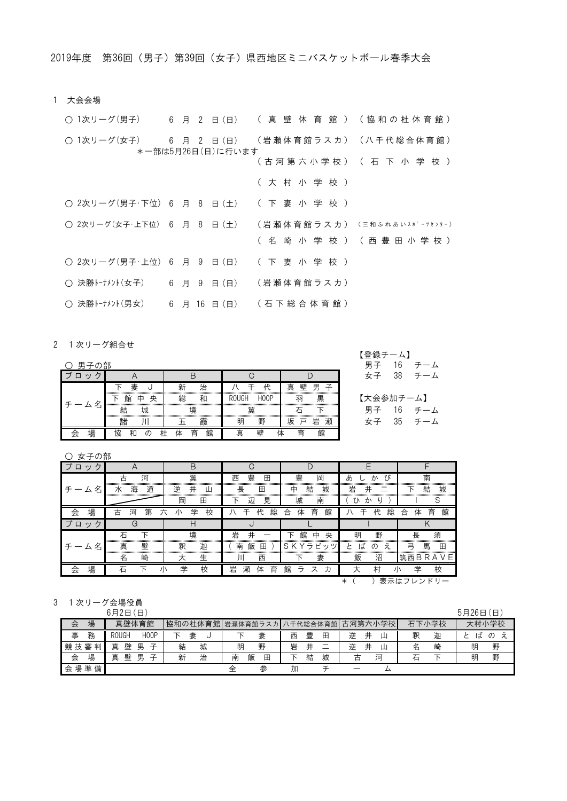1 大会会場

| ○ 1次リーグ(男子)   6 月 2 日(日)  ( 真 壁 体 育 館 ) ( 協 和 の 杜 体 育 館 )       |  |                   |         |                                 |
|-----------------------------------------------------------------|--|-------------------|---------|---------------------------------|
| (〇1次リーグ(女子) 6 月 2 日(日) (岩瀬体育館ラスカ)(八千代総合体育館)                     |  | *一部は5月26日(日)に行います |         |                                 |
|                                                                 |  |                   |         | ( 古 河 第 六 小 学 校 ) ( 石 下 小 学 校 ) |
|                                                                 |  |                   | (大村小学校) |                                 |
| ○ 2次リーグ(男子・下位) 6 月 8 日(土) ( 下 妻 小 学 校 )                         |  |                   |         |                                 |
| ◯ 2次リーグ(女子・上下位) 6 月 8 日 (十) (岩 瀬 体 育 館 ラ ス 力 ) (三和ふれあいスポーツセンター) |  |                   |         |                                 |
|                                                                 |  |                   |         | (名 崎 小 学 校 ) (西 豊 田 小 学 校 )     |
| ○ 2次リーグ(男子・上位) 6 月 9 日(日) ( 下 妻 小 学 校 )                         |  |                   |         |                                 |
| ○ 決勝トーナメント(女子) ― 6 月 9 日 (日) ― (岩 瀬体 育 館 ラ ス カ )                |  |                   |         |                                 |
| ○ 決勝トーナメント(男女) - 6 月 16 日 (日) (石 下 総 合 体 育 館 )                  |  |                   |         |                                 |

2 1次リーグ組合せ

| 男子の部         |        |                   |                      |              | 男子<br>6  |
|--------------|--------|-------------------|----------------------|--------------|----------|
| $\mathbf{v}$ |        |                   |                      |              | 38<br>女子 |
|              | 妻      | 新<br>۵Ŀ<br>ïП<br> |                      | 壁<br>真<br>里  |          |
|              | 央<br>館 | 総                 | <b>ROUGH</b><br>HOOF | নন<br>黒<br>. | 【大会参加ラ   |
| 名            | 城      | <br>哯             | 翼                    | <br>         | 男子       |
|              | 話      | 霞                 | 野<br>明               | 岩<br>驭       | 35       |
| 卓            |        | 館<br>育            | 日卒<br>曺              | 育<br>館       |          |

○ 女子の部

| ブロッ          |                  | n           |                  |                                    |                         |                  |
|--------------|------------------|-------------|------------------|------------------------------------|-------------------------|------------------|
|              | 古<br>河           | 翼           | 豊<br>西<br>田      | 豊<br>岡                             | あ<br>び<br>か             | 南                |
| 名<br>厶       | 道<br>海<br>7K     | 逆<br>井<br>Щ | 長<br>田           | 城<br>結<br>中                        | 岩<br>井                  | 結<br>城<br>下      |
|              |                  | 岡<br>田      | 見<br>辺           | 城<br>南                             | 7 N<br>IJ<br>か          |                  |
| 場<br>会       | 第<br>古<br>河<br>六 | 学<br>校<br>小 | 総<br>代<br>∓      | 育<br>体<br>合<br>館                   | 総<br>代<br>∓             | 育<br>体<br>館<br>合 |
| ブロ<br>ヶ<br>ッ | G                | H           |                  |                                    |                         |                  |
|              | 石                | 境           | 岩<br>井           | 中<br>館<br>ᅚ<br>央                   | 明<br>野                  | 長<br>須           |
| 名<br>厶       | 真<br>壁           | 迦<br>釈      | 飯<br>南<br>⊞      | ラビッ<br>S<br>∨<br>K<br>$\mathbf{v}$ | ば<br>え<br>$\sigma$<br>乄 | 馬<br>弓<br>⊞      |
|              | 名<br>崎           | 生<br>大      | 西<br>Л           | 妻                                  | 飯<br>沼                  | 筑西BRA<br>VЕ      |
| 場<br>会       |                  | 学<br>校      | 育<br>瀬<br>岩<br>体 | 館<br>ᆕ<br>ス<br>力                   | 村<br>大<br>川             | 学<br>校           |
|              |                  |             |                  |                                    | $^\ast$                 | 表示はフレンドリ         |

3 1次リーグ会場役員

|      |   | 6月2日         | 日                             |   |        |   |                           |   |   |   |        |                          |   |       | 5月26日 | 旧        |
|------|---|--------------|-------------------------------|---|--------|---|---------------------------|---|---|---|--------|--------------------------|---|-------|-------|----------|
| 会    | 場 |              | 真壁体育館                         |   |        |   | 協和の杜体育館 岩瀬体育館ラスカ 八千代総合体育館 |   |   |   |        | 古河第六小学校                  |   | 石下小学校 |       | 大村小学校    |
| 事    | 務 | <b>ROUGH</b> | H <sub>0</sub> OP             |   | 妻<br>ں |   | 妻                         | 西 | 豊 | 田 | 逆      | $^{\rm \texttt{+}}$<br>Щ | 釈 | 迦     | ば     | $\sigma$ |
| 競技審判 |   | 壁<br>真       | 男<br>ヱ                        | 結 | 城      | 明 | 野                         | 岩 | 井 | – | 逆      | $^{\rm \texttt{+}}$<br>Щ | 名 | 崎     | 明     | 野        |
| 会    | 場 | 壁<br>真       | 男<br>$\overline{\phantom{1}}$ | 新 | 治      | 南 | 飯<br>田                    |   | 結 | 城 | 古<br>⊣ | 河                        | 仁 |       | 明     | 野        |
| 会場準  | 備 |              |                               |   |        | 全 | 参                         | 加 |   |   |        | ∠                        |   |       |       |          |

チーム 女子 35 チーム 女子 38 チーム 【大会参加チーム】 【登録チーム】 男子 16 チーム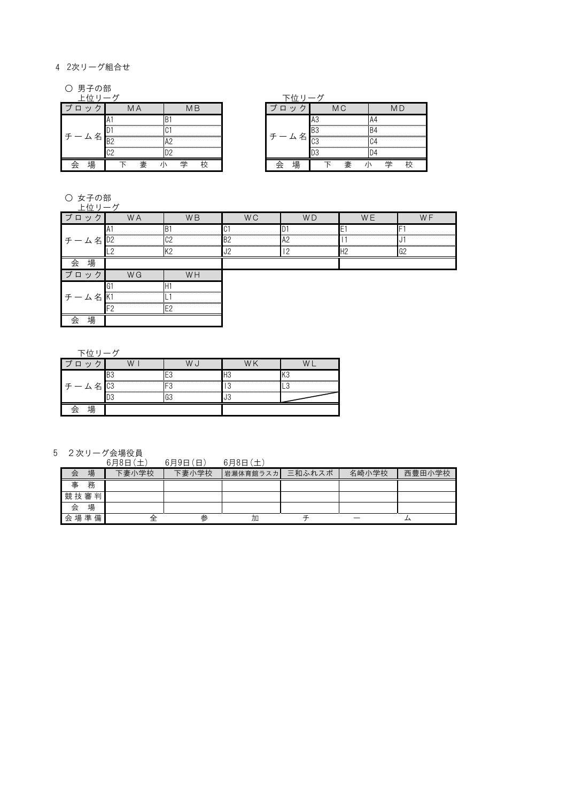#### 4 2次リーグ組合せ

○ 男子の部

|  |   |  |  |  |  |  |  | טש |  |  |  |  |  |
|--|---|--|--|--|--|--|--|----|--|--|--|--|--|
|  |   |  |  |  |  |  |  |    |  |  |  |  |  |
|  |   |  |  |  |  |  |  |    |  |  |  |  |  |
|  | 黒 |  |  |  |  |  |  | 場  |  |  |  |  |  |

〇 女子の部

|      | <b>WA</b> | W <sub>B</sub>                                        | <b>WC</b>                           | <b>WD</b> | <b>WF</b> | WF     |
|------|-----------|-------------------------------------------------------|-------------------------------------|-----------|-----------|--------|
|      |           |                                                       |                                     |           |           |        |
| チーム名 | ID2       | C <sub>2</sub><br>,,,,,,,,,,,,,,,,,,,,,,,,,,,,,,,,,,, | ,,,,,,,,,,,,,,,,,,,,,,,,,,,,,,,,,,, | A2        |           |        |
|      |           | v o                                                   |                                     |           |           | $\cap$ |
| 場    |           |                                                       |                                     |           |           |        |
| ブロック | <b>WG</b> | WH                                                    |                                     |           |           |        |
|      |           |                                                       |                                     |           |           |        |
| 厶名   |           |                                                       |                                     |           |           |        |
|      |           |                                                       |                                     |           |           |        |
| 場    |           |                                                       |                                     |           |           |        |

下位リーグ

5 2次リーグ会場役員

|      |   | 6月8日 (土) | $6$ 月9日 $($ 日) | 6月8日(    |        |       |        |
|------|---|----------|----------------|----------|--------|-------|--------|
| 会    | 場 | 下妻小学校    | 下妻小学校          | 岩瀬体育館ラスカ | 三和ふれスポ | 名崎小学校 | 西豊田小学校 |
| 事    | 務 |          |                |          |        |       |        |
| 競技審判 |   |          |                |          |        |       |        |
| 会    | 場 |          |                |          |        |       |        |
| 会場準  | 備 |          | 参              | 加        |        |       |        |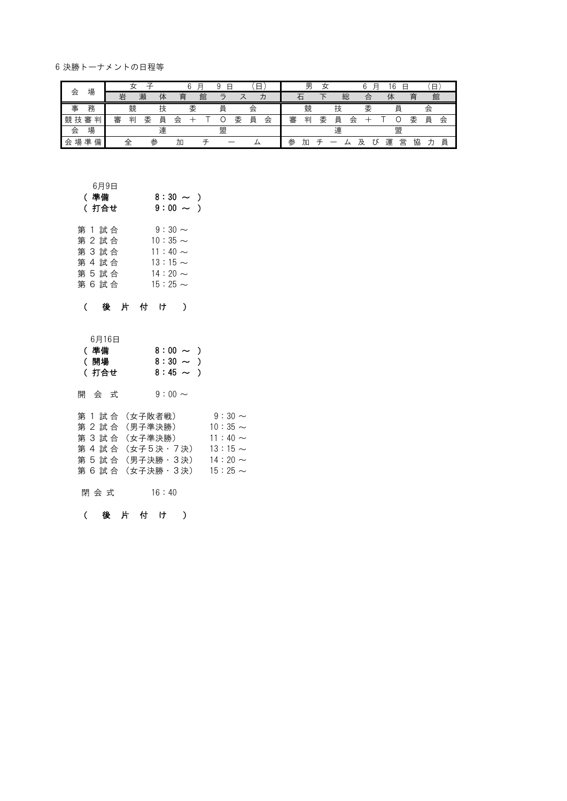6 決勝トーナメントの日程等

|        |        |   |        |   |   | 冃<br>6 | u             | ⊟ | Е |   |   | 男 | 女 |   |   | F<br>ี |   | ĥ<br>Ε<br>u |   | 日 |   |
|--------|--------|---|--------|---|---|--------|---------------|---|---|---|---|---|---|---|---|--------|---|-------------|---|---|---|
| 会      | 場      | 岩 | 瀬      | 体 | 育 | 館      | $\Rightarrow$ |   |   | 力 |   | 石 |   | 総 |   | 合      | 体 |             | 育 | 館 |   |
| 事      | 務      |   | 競      | 技 |   | 委      | 員             |   | 会 |   |   | 競 |   | 技 |   | 委      |   | 員           |   | 会 |   |
| 競<br>技 | 審<br>判 | 審 | 委<br>判 | 員 | 会 |        |               | 委 | 員 | 会 | 審 | 判 | 委 | 員 | 会 |        |   |             | 委 | 員 | 会 |
| 会      | 場      |   |        | 連 |   |        | 盟             |   |   |   |   |   |   | 連 |   |        |   | 盟           |   |   |   |
| 場<br>会 | 備<br>準 | 全 |        | 参 | 加 |        |               |   |   |   | 参 | 加 |   |   | 乃 | Ω.     | 運 | 営           | 協 |   | 員 |

### 6月9日

| (準備     | $8:30 \sim$ ) |
|---------|---------------|
| ( 打合せ   | $9:00 \sim$ ) |
| 第 1 試 合 | $9:30 \sim$   |
| 第 2 試合  | $10:35 \sim$  |
| 第 3 試合  | $11:40 \sim$  |
| 第 4 試 合 | $13:15 \sim$  |
| 第 5 試合  | $14:20 \sim$  |
| 第 6 試 合 | $15:25 \sim$  |

#### ( 後 片 付 け )

| - - - - - - |               |  |
|-------------|---------------|--|
| (準備         | $8:00 \sim$ ) |  |
| (開場         | $8:30 \sim$ ) |  |
| (打合せ        | $8:45 \sim$ ) |  |

|  | $9:30 \sim$                                                                                                          |
|--|----------------------------------------------------------------------------------------------------------------------|
|  | $10:35 \sim$                                                                                                         |
|  | $11:40 \sim$                                                                                                         |
|  | $13:15 \sim$                                                                                                         |
|  | $14:20 \sim$                                                                                                         |
|  | $15:25 \sim$                                                                                                         |
|  | 第 1 試 合 (女子敗者戦)<br>第 2 試 合 (男子準決勝)<br>第 3 試 合 (女子準決勝)<br>第 4 試 合 (女子5決・7決)<br>第 5 試 合 (男子決勝・3決)<br>第 6 試 合 (女子決勝・3決) |

閉 会 式 16:40

### ( 後 片 付 け )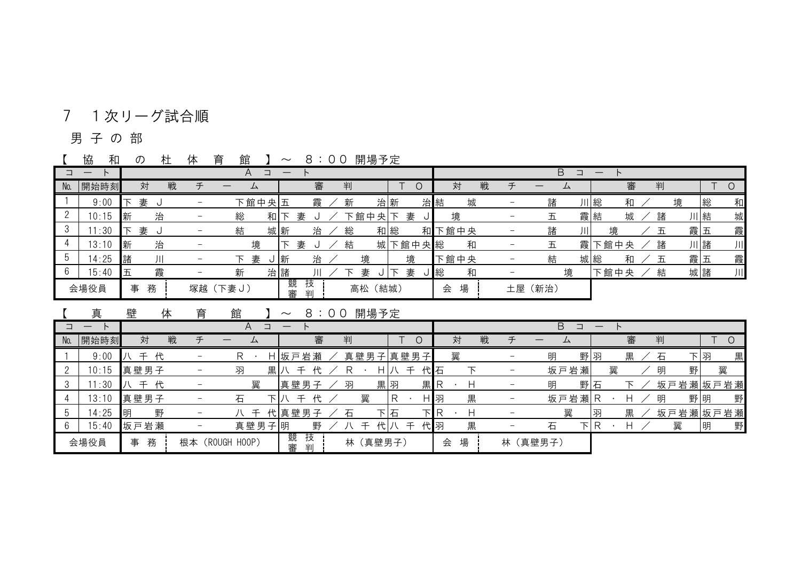# 7 1次リーグ試合順

### 男 子 の 部

【 協 和 の 杜 体 育 館 】 ~ 8:0 0 開場予定

|                | ,,,,, |        |   | . | .<br>$-$ |        |        |        |   | $\cdots$ $\cdots$ |   |         |        |   |   |                          |      |   |    |      |  |   |   |    |   |
|----------------|-------|--------|---|---|----------|--------|--------|--------|---|-------------------|---|---------|--------|---|---|--------------------------|------|---|----|------|--|---|---|----|---|
|                |       |        |   |   | A        | コ      |        |        |   |                   |   |         | Β<br>ᆨ |   |   |                          |      |   |    |      |  |   |   |    |   |
| N <sub>0</sub> | 開始時刻  | 対      | 戦 | 千 |          |        |        | 審      | 判 |                   |   |         | 対      |   | 戦 | 千                        |      | ឹ |    | 審    |  | 判 |   |    |   |
|                | 9:00  | 妻<br>下 |   |   |          | 下館中央五  |        | 霞      | 新 | 治新                |   |         | 治結     | 城 |   |                          | 諸    |   | 川総 | 和    |  |   | 境 | 総  | 和 |
|                | 10:15 | 新      | 治 |   | 総        | 和      |        | 妻      |   | 下館中央 下            |   | 妻<br>JI | 境      |   |   |                          | 五    |   | 霞結 | 城    |  | 諸 |   | 川結 | 城 |
|                | 1:30  | 妻<br>下 |   |   | 結        |        | 城新     | 治      | 総 | 和総                |   | 和       | 下館中央   |   |   | $\overline{\phantom{0}}$ | 諸    | 川 |    | 境    |  | 五 |   | 霞五 | 霞 |
|                | 13:10 | 新      | 治 |   |          | 境      |        | 妻<br>U | 結 | 城                 |   | 下館中央総   |        | 和 |   |                          | 五    | 霞 |    | 下館中央 |  | 諸 |   | 川諸 | 川 |
|                | 14:25 | 諸      |   |   | 下.       | 妻<br>U | 新      | 治      |   | 境                 |   | 境       | 下館中央   |   |   |                          | 結    |   | 城総 | 和    |  | 五 |   | 霞五 | 霞 |
|                | 15:40 | 五      | 霞 |   | 新        |        | 治諸     | Ш      |   | 妻                 | 下 | 妻       | J総     | 和 |   | $\overline{\phantom{m}}$ |      | 境 |    | 下館中央 |  | 結 |   | 城諸 | 川 |
|                | 会場役員  | 事      | 務 |   | 塚越(下妻J)  |        | 競<br>審 | 技<br>判 |   | 高松 (結城)           |   |         | 会      | 場 |   | 土屋                       | (新治) |   |    |      |  |   |   |    |   |

【 真 壁 体 育 館 】 ~ 8:00 開場予定

|     |       |             |              | A<br>$\Box$                          | $\qquad \qquad \longleftarrow$ |          |                  |        | B<br>$\Box$              | —        |        |        |          |
|-----|-------|-------------|--------------|--------------------------------------|--------------------------------|----------|------------------|--------|--------------------------|----------|--------|--------|----------|
| No. | 開始時刻  | 対           | 戦<br>$\pm$   | $\hspace{0.1mm}-\hspace{0.1mm}$<br>ᅀ | 審                              | 判        | 0                | 対      | 戦<br>千                   | —<br>ᅀ   | 審      | 判      |          |
|     | 9:00  | 代<br>千      |              | R                                    | H 坂戸岩瀬                         | 真壁男子真壁男子 |                  | 翼      | $\overline{\phantom{0}}$ | 野羽<br>明  | 黒      | 石      | 黒<br>下 羽 |
|     | 10:15 | 真壁男子        |              | 羽<br>黒八                              | 代                              | H.       | 壬<br>代石          |        | $\overline{\phantom{0}}$ | 坂戸岩瀬     | 翼      | 明<br>野 | 翼        |
|     | 11:30 | 代<br>千<br>八 |              | 翼                                    | 真壁男子                           | 黒羽<br>羽  | 黒R               |        | $\overline{a}$           | 野石<br>明  |        |        | 坂戸岩瀬坂戸岩瀬 |
|     | 13:10 | 真壁男子        |              | 石                                    | 代<br>千                         | 翼        | H 羽              | 黒      |                          | 坂戸岩瀬R    |        | 明      | 野<br>野明  |
|     | 14:25 | 野<br>明      |              | 千                                    | 代真壁男子                          | 石        | <b>TIR</b><br>下石 | Н      | $\overline{\phantom{m}}$ |          | 黒<br>网 |        | 坂戸岩瀬坂戸岩瀬 |
|     | 15:40 | 坂戸岩瀬        |              | 真壁男子明                                | 野                              | 代八<br>千  | 代羽<br>$\mp$      | 黒      |                          | 下 R<br>石 | н      | 翼      | 野<br> 明  |
|     | 会場役員  | 務<br>事      | (ROUGH<br>根本 | H00P)                                | 競<br>技<br>審<br>半川              | 林 (真壁男子) |                  | 場<br>会 | 林                        | (真壁男子)   |        |        |          |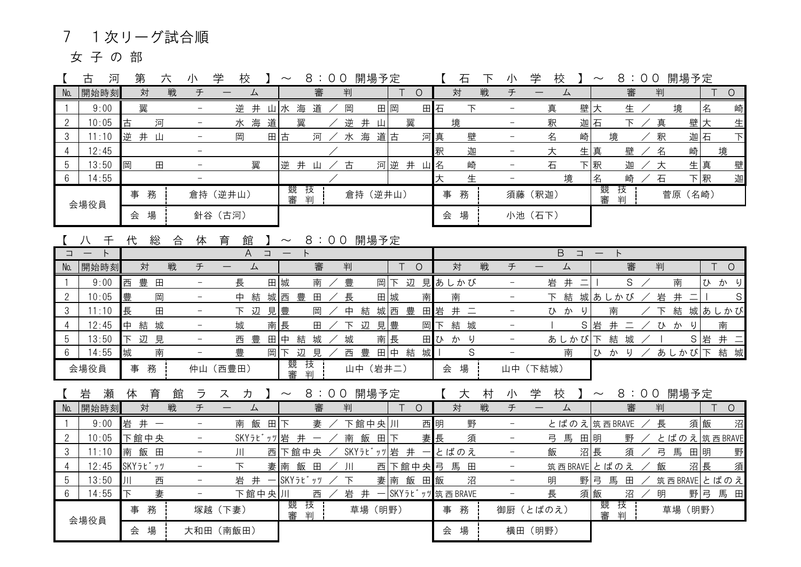# 7 1次リーグ試合順

女子の部

|                 | 古<br>河 | 第        | 六          | 小                        | 校<br>学                   |                                        | $\sim$ | 8:00                     |     | 開場予定      |     |         |    | 石                   | 下 | 小                        | 学       | 校                        |          | $\sim$   |                |        | 8:00 開場予定   |         |                |
|-----------------|--------|----------|------------|--------------------------|--------------------------|----------------------------------------|--------|--------------------------|-----|-----------|-----|---------|----|---------------------|---|--------------------------|---------|--------------------------|----------|----------|----------------|--------|-------------|---------|----------------|
| No.             | 開始時刻   | 対        | 戦          | チ                        |                          | 厶                                      |        | 審                        | 判   |           |     | $\circ$ |    | 対                   | 戦 | チ                        |         | 厶                        |          |          | 審              | 判      |             |         | $\circ$        |
|                 | 9:00   | 翼        |            | $\overline{\phantom{0}}$ |                          | 逆井山水海道                                 |        |                          | 岡   |           | 田岡  |         | 田石 | $\overline{\Gamma}$ |   | $\overline{\phantom{0}}$ | 真       |                          | 壁大       |          | 生              |        | 境           | 名       | 崎              |
| $\overline{2}$  | 10:05  | 古        | 河          |                          |                          | 水海<br>道                                |        | 翼                        |     | 逆井山       |     | 翼       |    | 境                   |   |                          | 釈       |                          | 迦石       |          | $\overline{E}$ | 真      |             | 壁大      | 生              |
| 3               | 11:10  | 逆井山      |            |                          | 岡                        |                                        | 田古     | 河                        |     | 水海道古      |     |         | 河真 | 壁                   |   | $\qquad \qquad -$        | 名       |                          | 崎        | 境        |                | 釈      |             | 迦石      | $\overline{F}$ |
| 4               | 12:45  |          |            | $-$                      |                          |                                        |        |                          |     |           |     |         | 釈  | 迦                   |   | $\overline{\phantom{a}}$ | 大       |                          | 生真       |          | 壁              | 名      | 崎           |         | 境              |
| 5               | 13:50  | 岡        | $\boxplus$ |                          |                          | 翼                                      |        | 逆井山                      | 古   |           |     | 河逆 井 山名 |    | 崎                   |   | $\equiv$                 | 石       |                          | 下釈       |          | 迦              | 大      |             | 生真      | 壁              |
| 6               | 14:55  |          |            |                          |                          |                                        |        |                          |     |           |     |         | 大  | 生                   |   |                          |         | 境                        |          | 名        | 崎              | 石      |             | 下釈      | 迦              |
|                 |        | 事務       |            |                          | 倉持 (逆井山)                 |                                        | 審      | 競 技<br>判                 |     | 倉持 (逆井山)  |     |         |    | 事務                  |   |                          | 須藤 (釈迦) |                          |          | 競<br>審   | 技<br>判         |        | 菅原 (名崎)     |         |                |
|                 | 会場役員   | 会 場      |            |                          | 針谷 (古河)                  |                                        |        |                          |     |           |     |         |    | 会 場                 |   |                          | 小池 (石下) |                          |          |          |                |        |             |         |                |
|                 |        |          |            |                          |                          |                                        |        |                          |     |           |     |         |    |                     |   |                          |         |                          |          |          |                |        |             |         |                |
|                 | 千<br>八 | 総<br>代   | 合          | 体                        | 育<br>館                   |                                        |        | 】 ~ 8:00 開場予定            |     |           |     |         |    |                     |   |                          |         |                          |          |          |                |        |             |         |                |
| ⊐               |        |          |            |                          |                          | $\hfill \square$<br>A                  |        |                          |     |           |     |         |    |                     |   |                          |         | $\overline{B}$<br>$\Box$ |          | $\vdash$ |                |        |             |         |                |
| No.             | 開始時刻   | 対        | 戦          | チ                        |                          | 厶                                      |        | 審                        | 当   |           | Τ   | $\circ$ |    | 対                   | 戦 | チ                        |         | 厶                        |          |          | 審              | 判      |             |         | $\circ$        |
|                 | 9:00   | 西<br>豊田  |            | $\overline{\phantom{a}}$ | 長                        |                                        | 田城     | 南                        | 豊   |           |     |         |    | 岡下 辺 見あしかび          |   | $\overline{\phantom{a}}$ |         | 岩 井                      | $\equiv$ |          | S              |        | 南           |         | ひかり            |
| $\overline{2}$  | 10:05  | 豊        | 岡          | $\overline{\phantom{0}}$ |                          | 中結城西豊                                  |        | $\boxplus$               | 長   |           | 田城  | 南       |    | 南                   |   | $\qquad \qquad -$        |         | 下 結 城あしかび                |          |          |                | 岩      | 井二          |         | S              |
| 3               | 11:10  | 長        | $\boxplus$ | $\qquad \qquad -$        |                          | 下 辺 見豊                                 |        | 岡                        | 中結  |           | 城西  | 豊       | 田岩 | 井二                  |   | $\overline{\phantom{m}}$ |         | ひかり                      |          | 南        |                | $\top$ |             |         | 結 城あしかび        |
| 4               | 12:45  | 中結城      |            |                          | 城                        |                                        | 南長     | $\boxplus$               | 下辺  | 見         | 豊   | 岡       | 下  | 結 城                 |   | $\overline{\phantom{a}}$ |         |                          | S岩       |          | 井二             |        | ひかり         |         | 南              |
| 5               | 13:50  | 下辺見      |            | $\overline{\phantom{a}}$ | 西豊                       |                                        | 田中 結   | 城                        | 城   |           | 南長  |         |    | 田ひ か り              |   | $\overline{\phantom{0}}$ |         | あしかび下                    |          |          | 結 城            |        |             | S 岩 井 二 |                |
| 6               | 14:55  | 城        | 南          | $\overline{\phantom{0}}$ | 豊                        |                                        | 岡下     | 辺 見<br>競 技               | 西豊  |           | 田中結 | 城       |    | S                   |   | $\equiv$                 |         | 南                        |          | ひかり      |                |        | あしかび下 結城    |         |                |
|                 | 会場役員   | 事務       |            |                          | 仲山 (西豊田)                 |                                        | 審      | 判                        |     | 山中 (岩井二)  |     |         |    | 会 場                 |   | 山中 (下結城)                 |         |                          |          |          |                |        |             |         |                |
|                 | 岩<br>瀬 | 育<br>体   | 館          | ラ                        | 力<br>ス                   |                                        | $\sim$ | 8:00 開場予定                |     |           |     |         |    | 【大                  | 村 | 小                        | 学       | 校                        | $\sim$   |          |                |        | 8:00 開場予定   |         |                |
| No.             | 開始時刻   | 対        | 戦          | チ                        | $\overline{\phantom{m}}$ | 厶                                      |        | 審                        | 判   |           |     | $\circ$ |    | 対                   | 戦 | 于                        |         | 厶                        |          |          | 審              | 判      |             |         | $\circ$        |
|                 | 9:00   | 岩井一      |            |                          | 南 飯                      |                                        | 田下     | 妻                        |     | 下館中央川     |     |         | 西明 | 野                   |   |                          |         | とばのえ筑西BRAVE              |          |          |                | 長      |             | 須飯      | 沼              |
| $\overline{2}$  | 10:05  | 下館中央     |            |                          |                          | SKYラビッツ 岩井                             |        | $\overline{\phantom{m}}$ |     | 南飯田       | 下   |         | 妻長 | 須                   |   | $\qquad \qquad -$        |         | 弓馬 田明                    |          |          | 野              |        | とばのえ筑西BRAVE |         |                |
| 3               | 11:10  | 南飯田      |            | $-$                      | 川                        |                                        |        | 西下館中央                    |     | SKYラビッッ岩井 |     |         |    | とばのえ                |   | $\overline{\phantom{a}}$ | 飯       |                          | 沼長       |          | 須              |        | 弓 馬 田明      |         | 野              |
| $\overline{4}$  | 12:45  | SKYラビ゙ッツ |            | $\overline{\phantom{0}}$ | $\overline{F}$           |                                        | 妻南     | 飯田                       | 川   |           |     |         |    | 西下館中央弓 馬田           |   | $\overline{\phantom{0}}$ |         | 筑西BRAVE とばのえ             |          |          |                | 飯      |             | 沼長      | 須              |
| 5               | 13:50  | Ш        | 西          | $\equiv$                 |                          | 岩 井<br>$\hspace{0.1mm}-\hspace{0.1mm}$ |        | SKYラビッツ                  | 下   |           | 妻南  | 田飯<br>飯 |    | 沼                   |   | $\overline{\phantom{0}}$ | 明       |                          | 野弓       | 馬        | 田              |        | 筑西BRAVEとばのえ |         |                |
| $6\phantom{1}6$ | 14:55  | 下        | 妻          |                          |                          | 下館中央川                                  |        | 西                        | 岩 井 |           |     |         |    | SKYラビ ッツ 筑西 BRAVE   |   |                          | 長       |                          | 須飯       |          | 沼              | 明      |             |         | 野弓 馬田          |
|                 |        | 事務       |            |                          | 塚越 (下妻)                  |                                        |        | 競 技                      |     | 草場 (明野)   |     |         |    | 事務                  |   | 御厨 (とばのえ)                |         |                          |          | 競 技      |                |        | 草場 (明野)     |         |                |
|                 | 会場役員   |          |            |                          |                          |                                        | 審      | 判                        |     |           |     |         |    |                     |   |                          |         |                          |          | 審        | 判              |        |             |         |                |
|                 |        | 会場       |            |                          | 大和田 (南飯田)                |                                        |        |                          |     |           |     |         |    | 会 場                 |   |                          | 横田 (明野) |                          |          |          |                |        |             |         |                |